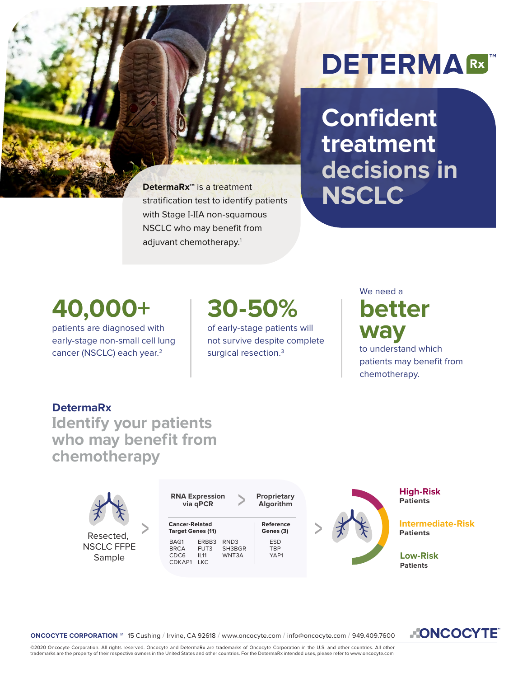

**Confident treatment decisions in DetermaRx<sup>m</sup>** is a treatment<br>stratification test to identify patients<br> $\blacksquare$ 

## **40,000+**

patients are diagnosed with early-stage non-small cell lung cancer (NSCLC) each year.<sup>2</sup>

# **30-50%**

stratification test to identify patients

with Stage I-IIA non-squamous NSCLC who may benefit from

adjuvant chemotherapy.1

of early-stage patients will not survive despite complete surgical resection.<sup>3</sup>

## We need a **better way**

to understand which patients may benefit from chemotherapy.

#### **DetermaRx**

**Identify your patients who may benefit from chemotherapy**





**NONCOCYTE** 

©2020 Oncocyte Corporation. All rights reserved. Oncocyte and DetermaRx are trademarks of Oncocyte Corporation in the U.S. and other countries. All other<br>trademarks are the property of their respective owners in the United